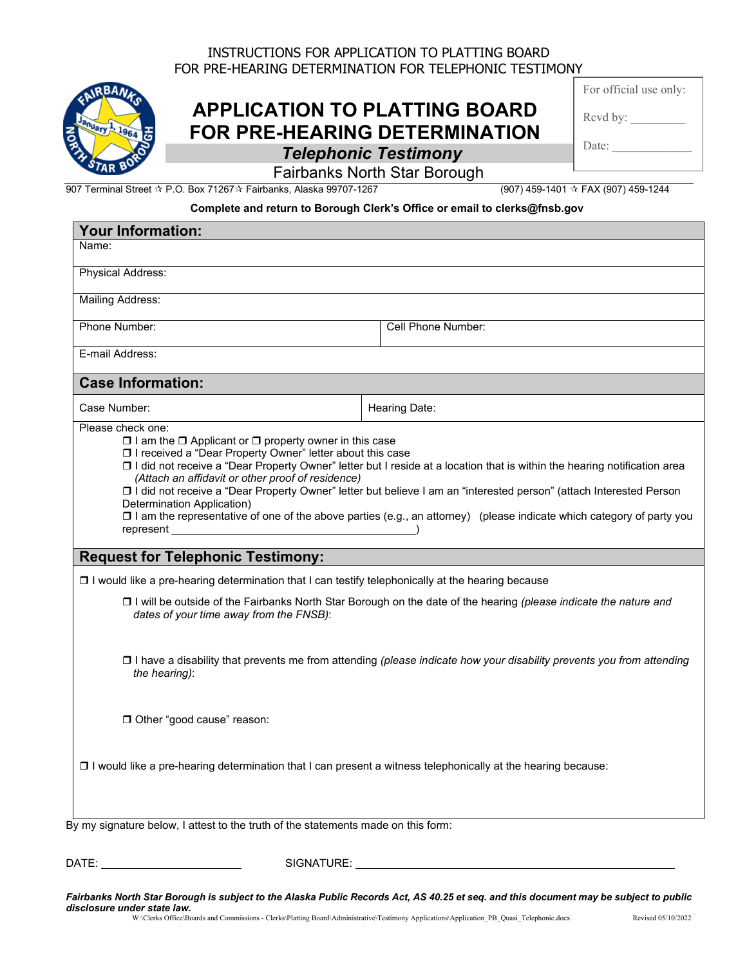## INSTRUCTIONS FOR APPLICATION TO PLATTING BOARD FOR PRE-HEARING DETERMINATION FOR TELEPHONIC TESTIMONY

## **APPLICATION TO PLATTING BOARD FOR PRE-HEARING DETERMINATION** *Telephonic Testimony*

|  | For official use only: |  |  |  |
|--|------------------------|--|--|--|
|--|------------------------|--|--|--|

Rcvd by:

Date:

Fairbanks North Star Borough

907 Terminal Street ☆ P.O. Box 71267☆ Fairbanks, Alaska 99707-1267 (907) 459-1401 ☆ FAX (907) 459-1244

## **Complete and return to Borough Clerk's Office or email to clerks@fnsb.gov**

| <b>Your Information:</b>                                                                                                                                                                                                 |                                                                                                                                                                                                                                                                                                                                                                              |
|--------------------------------------------------------------------------------------------------------------------------------------------------------------------------------------------------------------------------|------------------------------------------------------------------------------------------------------------------------------------------------------------------------------------------------------------------------------------------------------------------------------------------------------------------------------------------------------------------------------|
| Name:                                                                                                                                                                                                                    |                                                                                                                                                                                                                                                                                                                                                                              |
| Physical Address:                                                                                                                                                                                                        |                                                                                                                                                                                                                                                                                                                                                                              |
| <b>Mailing Address:</b>                                                                                                                                                                                                  |                                                                                                                                                                                                                                                                                                                                                                              |
| Phone Number:                                                                                                                                                                                                            | Cell Phone Number:                                                                                                                                                                                                                                                                                                                                                           |
| E-mail Address:                                                                                                                                                                                                          |                                                                                                                                                                                                                                                                                                                                                                              |
| <b>Case Information:</b>                                                                                                                                                                                                 |                                                                                                                                                                                                                                                                                                                                                                              |
| Case Number:                                                                                                                                                                                                             | Hearing Date:                                                                                                                                                                                                                                                                                                                                                                |
| $\Box$ I am the $\Box$ Applicant or $\Box$ property owner in this case<br>□ I received a "Dear Property Owner" letter about this case<br>(Attach an affidavit or other proof of residence)<br>Determination Application) | □ I did not receive a "Dear Property Owner" letter but I reside at a location that is within the hearing notification area<br>□ I did not receive a "Dear Property Owner" letter but believe I am an "interested person" (attach Interested Person<br>□ I am the representative of one of the above parties (e.g., an attorney) (please indicate which category of party you |
| <b>Request for Telephonic Testimony:</b>                                                                                                                                                                                 |                                                                                                                                                                                                                                                                                                                                                                              |
| $\Box$ I would like a pre-hearing determination that I can testify telephonically at the hearing because                                                                                                                 |                                                                                                                                                                                                                                                                                                                                                                              |
| dates of your time away from the FNSB):                                                                                                                                                                                  | □ I will be outside of the Fairbanks North Star Borough on the date of the hearing (please indicate the nature and                                                                                                                                                                                                                                                           |
| the hearing):                                                                                                                                                                                                            | □ I have a disability that prevents me from attending (please indicate how your disability prevents you from attending                                                                                                                                                                                                                                                       |
| □ Other "good cause" reason:                                                                                                                                                                                             |                                                                                                                                                                                                                                                                                                                                                                              |
| □ I would like a pre-hearing determination that I can present a witness telephonically at the hearing because:                                                                                                           |                                                                                                                                                                                                                                                                                                                                                                              |
| By my signature below, I attest to the truth of the statements made on this form:                                                                                                                                        |                                                                                                                                                                                                                                                                                                                                                                              |
|                                                                                                                                                                                                                          |                                                                                                                                                                                                                                                                                                                                                                              |

DATE: SIGNATURE:

*Fairbanks North Star Borough is subject to the Alaska Public Records Act, AS 40.25 et seq. and this document may be subject to public disclosure under state law.* W:\Clerks Office\Boards and Commissions - Clerks\Platting Board\Administrative\Testimony Applications\Application\_PB\_Quasi\_Telephonic.docx Revised 05/10/2022